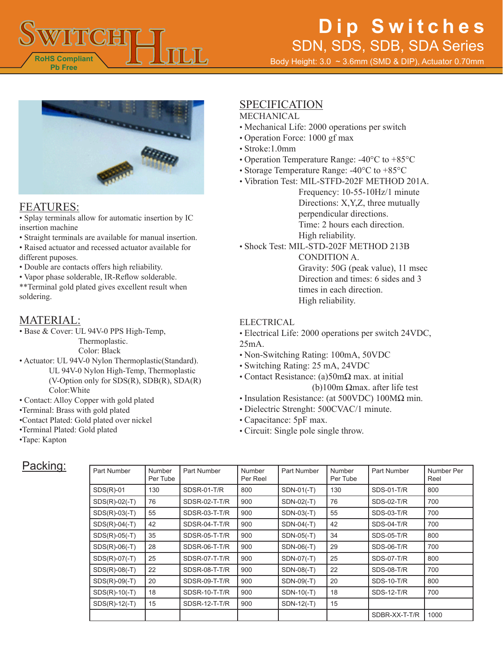

Body Height: 3.0 ~ 3.6mm (SMD & DIP), Actuator 0.70mm



#### FEATURES:

• Splay terminals allow for automatic insertion by IC insertion machine

- Straight terminals are available for manual insertion.
- Raised actuator and recessed actuator available for different puposes.
- Double are contacts offers high reliability.
- Vapor phase solderable, IR-Reflow solderable.

\*\*Terminal gold plated gives excellent result when soldering.

### MATERIAL:

• Base & Cover: UL 94V-0 PPS High-Temp,

Thermoplastic.

Color: Black

- Actuator: UL 94V-0 Nylon Thermoplastic(Standard). UL 94V-0 Nylon High-Temp, Thermoplastic (V-Option only for  $SDS(R)$ ,  $SDB(R)$ ,  $SDA(R)$ ) Color:White
- Contact: Alloy Copper with gold plated
- •Terminal: Brass with gold plated
- •Contact Plated: Gold plated over nickel
- •Terminal Plated: Gold plated
- •Tape: Kapton

### SPECIFICATION

- MECHANICAL
- Mechanical Life: 2000 operations per switch
- Operation Force: 1000 gf max
- Stroke:1.0mm
- Operation Temperature Range: -40°C to +85°C
- Storage Temperature Range: -40°C to +85°C
- Vibration Test: MIL-STFD-202F METHOD 201A.

Frequency: 10-55-10Hz/1 minute Directions: X,Y,Z, three mutually perpendicular directions. Time: 2 hours each direction. High reliability.

• Shock Test: MIL-STD-202F METHOD 213B

CONDITION A. Gravity: 50G (peak value), 11 msec Direction and times: 6 sides and 3 times in each direction. High reliability.

#### ELECTRICAL

• Electrical Life: 2000 operations per switch 24VDC, 25mA.

- Non-Switching Rating: 100mA, 50VDC
- Switching Rating: 25 mA, 24VDC
- Contact Resistance: (a)50mΩ max. at initial (b)100m Ωmax. after life test
- Insulation Resistance: (at 500VDC) 100MΩ min.
- Dielectric Strenght: 500CVAC/1 minute.
- Capacitance: 5pF max.
- Circuit: Single pole single throw.

### Packing:

| <b>Part Number</b> | Number<br>Per Tube | Part Number   | Number<br>Per Reel | Part Number  | Number<br>Per Tube | Part Number       | Number Per<br>Reel |
|--------------------|--------------------|---------------|--------------------|--------------|--------------------|-------------------|--------------------|
| $SDS(R)-01$        | 130                | SDSR-01-T/R   | 800                | $SDN-01(-T)$ | 130                | <b>SDS-01-T/R</b> | 800                |
| $SDS(R)-02(-T)$    | 76                 | SDSR-02-T-T/R | 900                | SDN-02(-T)   | 76                 | <b>SDS-02-T/R</b> | 700                |
| $SDS(R)-03(-T)$    | 55                 | SDSR-03-T-T/R | 900                | SDN-03(-T)   | 55                 | <b>SDS-03-T/R</b> | 700                |
| $SDS(R)-04(-T)$    | 42                 | SDSR-04-T-T/R | 900                | $SDN-04(-T)$ | 42                 | <b>SDS-04-T/R</b> | 700                |
| $SDS(R)-05(-T)$    | 35                 | SDSR-05-T-T/R | 900                | SDN-05(-T)   | 34                 | <b>SDS-05-T/R</b> | 800                |
| $SDS(R)-06(-T)$    | 28                 | SDSR-06-T-T/R | 900                | SDN-06(-T)   | 29                 | <b>SDS-06-T/R</b> | 700                |
| $SDS(R)-07(-T)$    | 25                 | SDSR-07-T-T/R | 900                | SDN-07(-T)   | 25                 | <b>SDS-07-T/R</b> | 800                |
| $SDS(R)-08(-T)$    | 22                 | SDSR-08-T-T/R | 900                | SDN-08(-T)   | 22                 | <b>SDS-08-T/R</b> | 700                |
| $SDS(R)-09(-T)$    | 20                 | SDSR-09-T-T/R | 900                | SDN-09(-T)   | 20                 | <b>SDS-10-T/R</b> | 800                |
| $SDS(R)-10(-T)$    | 18                 | SDSR-10-T-T/R | 900                | SDN-10(-T)   | 18                 | <b>SDS-12-T/R</b> | 700                |
| $SDS(R)-12(-T)$    | 15                 | SDSR-12-T-T/R | 900                | SDN-12(-T)   | 15                 |                   |                    |
|                    |                    |               |                    |              |                    | SDBR-XX-T-T/R     | 1000               |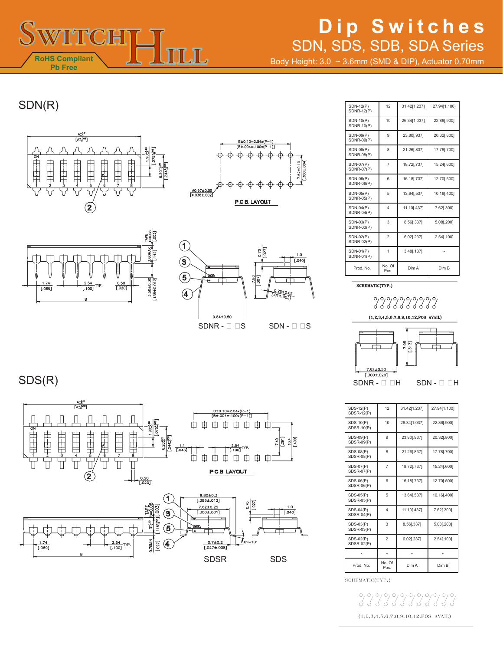

Body Height: 3.0 ~ 3.6mm (SMD & DIP), Actuator 0.70mm

### SDN(R)









SDS(R)



| <b>SDN-12(P)</b><br><b>SDNR-12(P)</b> | 12             | 31.42[1.237] | 27.94[1.100] |
|---------------------------------------|----------------|--------------|--------------|
| SDN-10(P)<br><b>SDNR-10(P)</b>        | 10             | 26.34[1.037] | 22.86[.900]  |
| SDN-09(P)<br><b>SDNR-09(P)</b>        | 9              | 23.80[.937]  | 20.32[.800]  |
| <b>SDN-08(P)</b><br><b>SDNR-08(P)</b> | 8              | 21.26[.837]  | 17.78[.700]  |
| SDN-07(P)<br><b>SDNR-07(P)</b>        | $\overline{7}$ | 18.72[.737]  | 15.24[.600]  |
| SDN-06(P)<br><b>SDNR-06(P)</b>        | 6              | 16.18[.737]  | 12.70[.500]  |
| SDN-05(P)<br><b>SDNR-05(P)</b>        | 5              | 13.64[.537]  | 10.16[.400]  |
| SDN-04(P)<br>$SDNR-04(P)$             | $\overline{4}$ | 11.10[.437]  | 7.62[.300]   |
| SDN-03(P)<br>$SDNR-03(P)$             | 3              | 8.56[.337]   | 5.08[.200]   |
| SDN-02(P)<br><b>SDNR-02(P)</b>        | $\overline{2}$ | 6.02[.237]   | 2.54[.100]   |
| SDN-01(P)<br><b>SDNR-01(P)</b>        | 1              | 3.48[.137]   |              |
| Prod. No.                             | No. Of<br>Pos. | Dim A        | Dim B        |

SCHEMATIC(TYP.)





| <b>SDS-12(P)</b><br>SDSR-12(P) | 12             | 31.42[1.237] | 27.94[1.100] |
|--------------------------------|----------------|--------------|--------------|
| SDS-10(P)<br><b>SDSR-10(P)</b> | 10             | 26.34[1.037] | 22.86[.900]  |
| SDS-09(P)<br><b>SDSR-09(P)</b> | 9              | 23.80[.937]  | 20.32[.800]  |
| SDS-08(P)<br><b>SDSR-08(P)</b> | 8              | 21.26[.837]  | 17.78[.700]  |
| SDS-07(P)<br><b>SDSR-07(P)</b> | $\overline{7}$ | 18.72[.737]  | 15.24[.600]  |
| SDS-06(P)<br><b>SDSR-06(P)</b> | 6              | 16.18[.737]  | 12.70[.500]  |
| SDS-05(P)<br><b>SDSR-05(P)</b> | 5              | 13.64[.537]  | 10.16[.400]  |
| $SDS-04(P)$<br>SDSR-04(P)      | $\overline{4}$ | 11.10[.437]  | 7.62[.300]   |
| SDS-03(P)<br><b>SDSR-03(P)</b> | 3              | 8.56[.337]   | 5.08[.200]   |
| SDS-02(P)<br><b>SDSR-02(P)</b> | $\overline{2}$ | 6.02[.237]   | 2.54[.100]   |
|                                |                |              |              |
| Prod. No.                      | No. Of<br>Pos. | Dim A        | Dim B        |

SCHEMATIC(TYP.)

 $(1, 2, 3, 4, 5, 6, 7, 8, 9, 10, 12, POS$  AVAIL)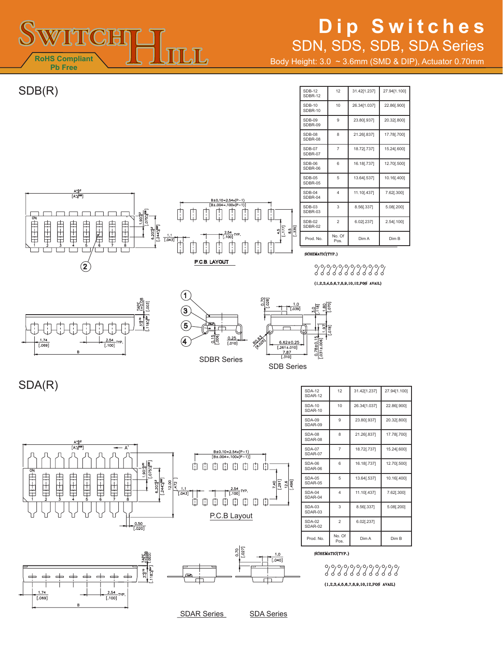

Body Height: 3.0 ~ 3.6mm (SMD & DIP), Actuator 0.70mm

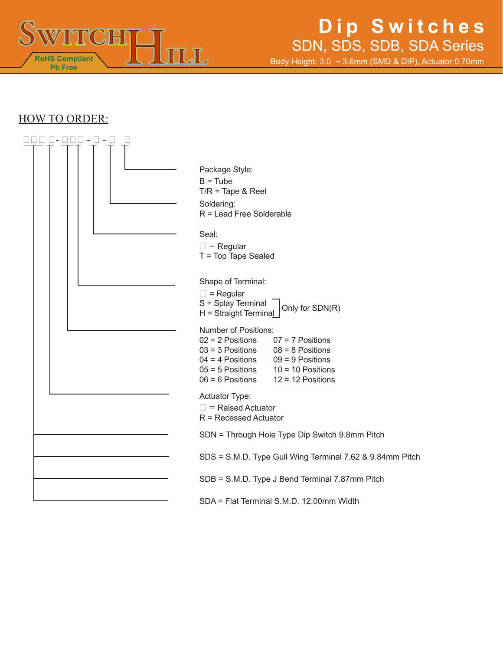

Body Height: 3.0 ~ 3.6mm (SMD & DIP), Actuator 0.70mm

#### HOW TO ORDER:

| $\vert \vert$ $\vert$ $\vert$<br>$\overline{\phantom{a}}$<br>- 1<br>$\sim$ |                                                                                      |
|----------------------------------------------------------------------------|--------------------------------------------------------------------------------------|
|                                                                            |                                                                                      |
|                                                                            | Package Style:                                                                       |
|                                                                            | $B = Tub$                                                                            |
|                                                                            | $T/R$ = Tape & Reel                                                                  |
|                                                                            | Soldering:                                                                           |
|                                                                            | R = Lead Free Solderable                                                             |
|                                                                            | Seal:                                                                                |
|                                                                            | $\square$ = Regular                                                                  |
|                                                                            | T = Top Tape Sealed                                                                  |
|                                                                            |                                                                                      |
|                                                                            | Shape of Terminal:                                                                   |
|                                                                            | $\Box$ = Regular                                                                     |
|                                                                            | S = Splay Terminal<br>Only for SDN(R)                                                |
|                                                                            | H = Straight Terminal                                                                |
|                                                                            | Number of Positions:                                                                 |
|                                                                            | $02 = 2$ Positions<br>$07 = 7$ Positions                                             |
|                                                                            | $03 = 3$ Positions<br>$08 = 8$ Positions<br>$04 = 4$ Positions<br>$09 = 9$ Positions |
|                                                                            | $05 = 5$ Positions<br>$10 = 10$ Positions                                            |
|                                                                            | $06 = 6$ Positions<br>$12 = 12$ Positions                                            |
|                                                                            | Actuator Type:                                                                       |
|                                                                            | $\Box$ = Raised Actuator                                                             |
|                                                                            | $R =$ Recessed Actuator                                                              |
|                                                                            |                                                                                      |
|                                                                            | SDN = Through Hole Type Dip Switch 9.8mm Pitch                                       |
|                                                                            | SDS = S.M.D. Type Gull Wing Terminal 7.62 & 9.84mm Pitch                             |
|                                                                            | SDB = S.M.D. Type J Bend Terminal 7.87mm Pitch                                       |
|                                                                            | SDA = Flat Terminal S.M.D. 12.00mm Width                                             |